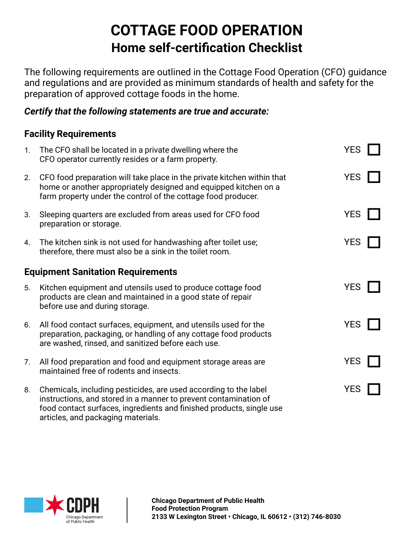# **COTTAGE FOOD OPERATION Home self-certification Checklist**

The following requirements are outlined in the Cottage Food Operation (CFO) guidance and regulations and are provided as minimum standards of health and safety for the preparation of approved cottage foods in the home.

#### *Certify that the following statements are true and accurate:*

### **Facility Requirements**

| 1.                                       | The CFO shall be located in a private dwelling where the<br>CFO operator currently resides or a farm property.                                                                                                                                     | <b>YES</b> |  |  |
|------------------------------------------|----------------------------------------------------------------------------------------------------------------------------------------------------------------------------------------------------------------------------------------------------|------------|--|--|
| 2.                                       | CFO food preparation will take place in the private kitchen within that<br>home or another appropriately designed and equipped kitchen on a<br>farm property under the control of the cottage food producer.                                       | <b>YES</b> |  |  |
| 3.                                       | Sleeping quarters are excluded from areas used for CFO food<br>preparation or storage.                                                                                                                                                             | <b>YES</b> |  |  |
| $4_{-}$                                  | The kitchen sink is not used for handwashing after toilet use;<br>therefore, there must also be a sink in the toilet room.                                                                                                                         | <b>YES</b> |  |  |
| <b>Equipment Sanitation Requirements</b> |                                                                                                                                                                                                                                                    |            |  |  |
| 5.                                       | Kitchen equipment and utensils used to produce cottage food<br>products are clean and maintained in a good state of repair<br>before use and during storage.                                                                                       | <b>YES</b> |  |  |
| 6.                                       | All food contact surfaces, equipment, and utensils used for the<br>preparation, packaging, or handling of any cottage food products<br>are washed, rinsed, and sanitized before each use.                                                          | <b>YES</b> |  |  |
| 7 <sub>1</sub>                           | All food preparation and food and equipment storage areas are<br>maintained free of rodents and insects.                                                                                                                                           | <b>YES</b> |  |  |
| 8.                                       | Chemicals, including pesticides, are used according to the label<br>instructions, and stored in a manner to prevent contamination of<br>food contact surfaces, ingredients and finished products, single use<br>articles, and packaging materials. | <b>YES</b> |  |  |

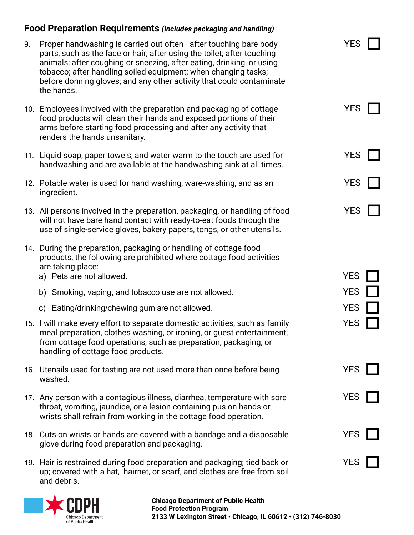## **Food Preparation Requirements** *(includes packaging and handling)*

| 9. | Proper handwashing is carried out often-after touching bare body<br>parts, such as the face or hair; after using the toilet; after touching<br>animals; after coughing or sneezing, after eating, drinking, or using<br>tobacco; after handling soiled equipment; when changing tasks;<br>before donning gloves; and any other activity that could contaminate<br>the hands. | <b>YES</b> |  |
|----|------------------------------------------------------------------------------------------------------------------------------------------------------------------------------------------------------------------------------------------------------------------------------------------------------------------------------------------------------------------------------|------------|--|
|    | 10. Employees involved with the preparation and packaging of cottage<br>food products will clean their hands and exposed portions of their<br>arms before starting food processing and after any activity that<br>renders the hands unsanitary.                                                                                                                              | <b>YES</b> |  |
|    | 11. Liquid soap, paper towels, and water warm to the touch are used for<br>handwashing and are available at the handwashing sink at all times.                                                                                                                                                                                                                               | <b>YES</b> |  |
|    | 12. Potable water is used for hand washing, ware-washing, and as an<br>ingredient.                                                                                                                                                                                                                                                                                           | <b>YES</b> |  |
|    | 13. All persons involved in the preparation, packaging, or handling of food<br>will not have bare hand contact with ready-to-eat foods through the<br>use of single-service gloves, bakery papers, tongs, or other utensils.                                                                                                                                                 | <b>YES</b> |  |
|    | 14. During the preparation, packaging or handling of cottage food<br>products, the following are prohibited where cottage food activities<br>are taking place:<br>a) Pets are not allowed.                                                                                                                                                                                   | <b>YES</b> |  |
|    | b) Smoking, vaping, and tobacco use are not allowed.                                                                                                                                                                                                                                                                                                                         | <b>YES</b> |  |
|    | c) Eating/drinking/chewing gum are not allowed.                                                                                                                                                                                                                                                                                                                              | <b>YES</b> |  |
|    | 15. I will make every effort to separate domestic activities, such as family<br>meal preparation, clothes washing, or ironing, or guest entertainment,<br>from cottage food operations, such as preparation, packaging, or<br>handling of cottage food products.                                                                                                             | <b>YES</b> |  |
|    | 16. Utensils used for tasting are not used more than once before being<br>washed.                                                                                                                                                                                                                                                                                            | <b>YES</b> |  |
|    | 17. Any person with a contagious illness, diarrhea, temperature with sore<br>throat, vomiting, jaundice, or a lesion containing pus on hands or<br>wrists shall refrain from working in the cottage food operation.                                                                                                                                                          | <b>YES</b> |  |
|    | 18. Cuts on wrists or hands are covered with a bandage and a disposable<br>glove during food preparation and packaging.                                                                                                                                                                                                                                                      | <b>YES</b> |  |
|    | 19. Hair is restrained during food preparation and packaging; tied back or<br>up; covered with a hat, hairnet, or scarf, and clothes are free from soil<br>and debris.                                                                                                                                                                                                       | <b>YES</b> |  |